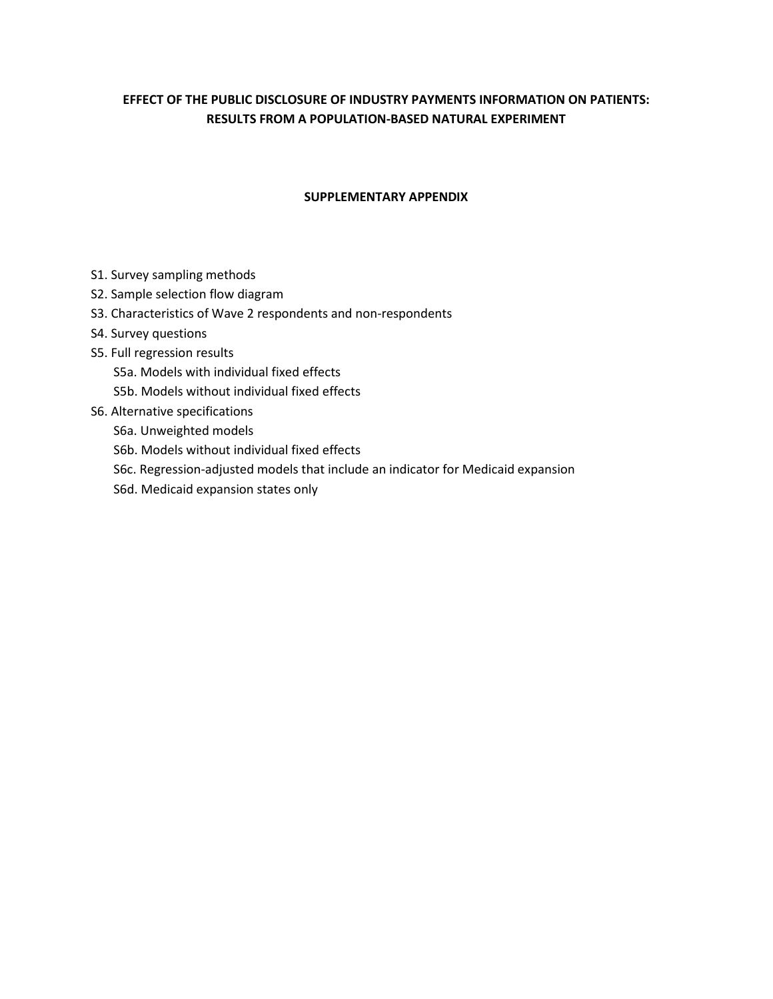# **EFFECT OF THE PUBLIC DISCLOSURE OF INDUSTRY PAYMENTS INFORMATION ON PATIENTS: RESULTS FROM A POPULATION-BASED NATURAL EXPERIMENT**

## **SUPPLEMENTARY APPENDIX**

- S1. Survey sampling methods
- S2. Sample selection flow diagram
- S3. Characteristics of Wave 2 respondents and non-respondents
- S4. Survey questions
- S5. Full regression results
	- S5a. Models with individual fixed effects
	- S5b. Models without individual fixed effects
- S6. Alternative specifications
	- S6a. Unweighted models
	- S6b. Models without individual fixed effects
	- S6c. Regression-adjusted models that include an indicator for Medicaid expansion
	- S6d. Medicaid expansion states only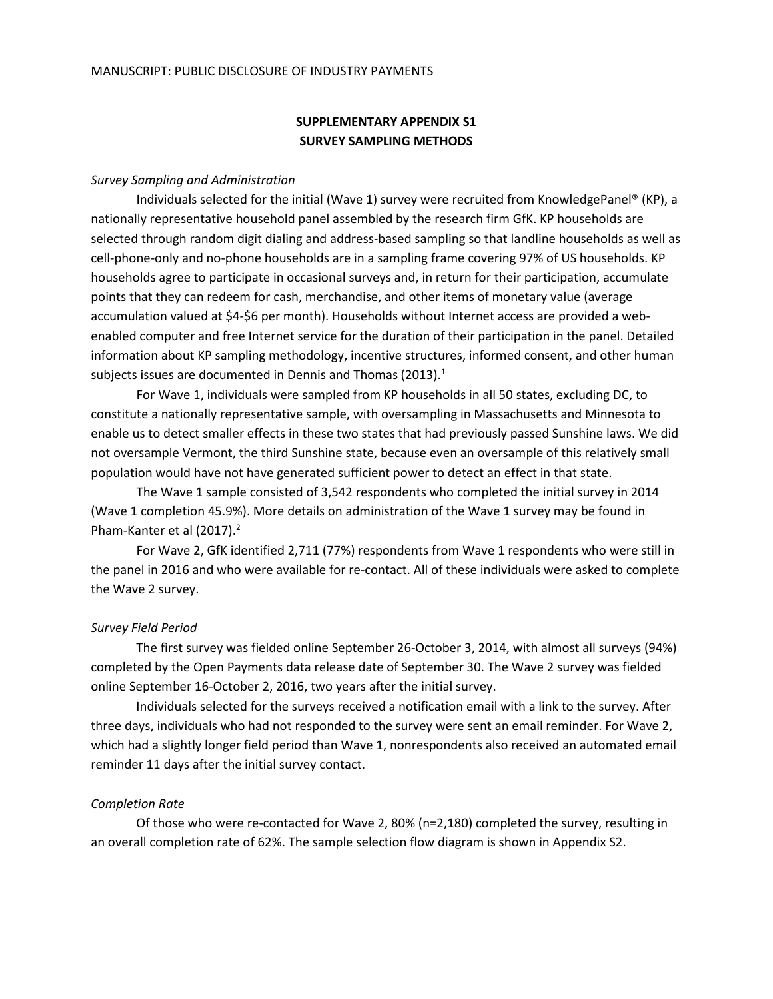## **SUPPLEMENTARY APPENDIX S1 SURVEY SAMPLING METHODS**

#### *Survey Sampling and Administration*

Individuals selected for the initial (Wave 1) survey were recruited from KnowledgePanel® (KP), a nationally representative household panel assembled by the research firm GfK. KP households are selected through random digit dialing and address-based sampling so that landline households as well as cell-phone-only and no-phone households are in a sampling frame covering 97% of US households. KP households agree to participate in occasional surveys and, in return for their participation, accumulate points that they can redeem for cash, merchandise, and other items of monetary value (average accumulation valued at \$4-\$6 per month). Households without Internet access are provided a webenabled computer and free Internet service for the duration of their participation in the panel. Detailed information about KP sampling methodology, incentive structures, informed consent, and other human subjects issues are documented in Dennis and Thomas (2013).<sup>1</sup>

For Wave 1, individuals were sampled from KP households in all 50 states, excluding DC, to constitute a nationally representative sample, with oversampling in Massachusetts and Minnesota to enable us to detect smaller effects in these two states that had previously passed Sunshine laws. We did not oversample Vermont, the third Sunshine state, because even an oversample of this relatively small population would have not have generated sufficient power to detect an effect in that state.

The Wave 1 sample consisted of 3,542 respondents who completed the initial survey in 2014 (Wave 1 completion 45.9%). More details on administration of the Wave 1 survey may be found in Pham-Kanter et al (2017).<sup>2</sup>

For Wave 2, GfK identified 2,711 (77%) respondents from Wave 1 respondents who were still in the panel in 2016 and who were available for re-contact. All of these individuals were asked to complete the Wave 2 survey.

### *Survey Field Period*

The first survey was fielded online September 26-October 3, 2014, with almost all surveys (94%) completed by the Open Payments data release date of September 30. The Wave 2 survey was fielded online September 16-October 2, 2016, two years after the initial survey.

Individuals selected for the surveys received a notification email with a link to the survey. After three days, individuals who had not responded to the survey were sent an email reminder. For Wave 2, which had a slightly longer field period than Wave 1, nonrespondents also received an automated email reminder 11 days after the initial survey contact.

### *Completion Rate*

Of those who were re-contacted for Wave 2, 80% (n=2,180) completed the survey, resulting in an overall completion rate of 62%. The sample selection flow diagram is shown in Appendix S2.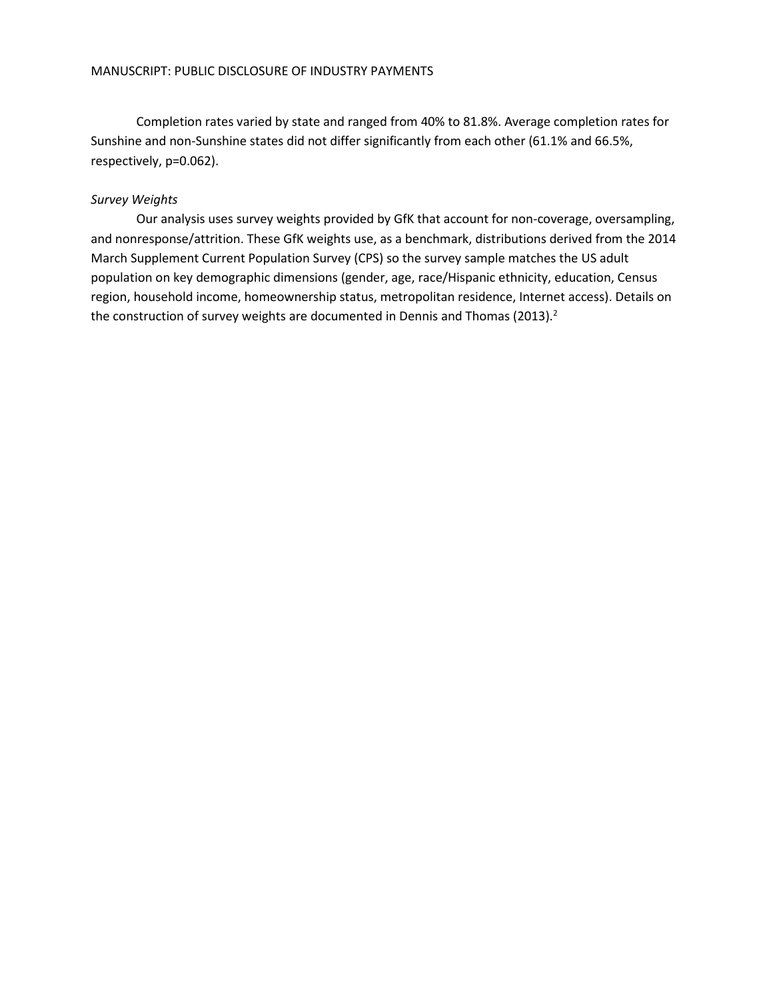Completion rates varied by state and ranged from 40% to 81.8%. Average completion rates for Sunshine and non-Sunshine states did not differ significantly from each other (61.1% and 66.5%, respectively, p=0.062).

### *Survey Weights*

Our analysis uses survey weights provided by GfK that account for non-coverage, oversampling, and nonresponse/attrition. These GfK weights use, as a benchmark, distributions derived from the 2014 March Supplement Current Population Survey (CPS) so the survey sample matches the US adult population on key demographic dimensions (gender, age, race/Hispanic ethnicity, education, Census region, household income, homeownership status, metropolitan residence, Internet access). Details on the construction of survey weights are documented in Dennis and Thomas (2013).<sup>2</sup>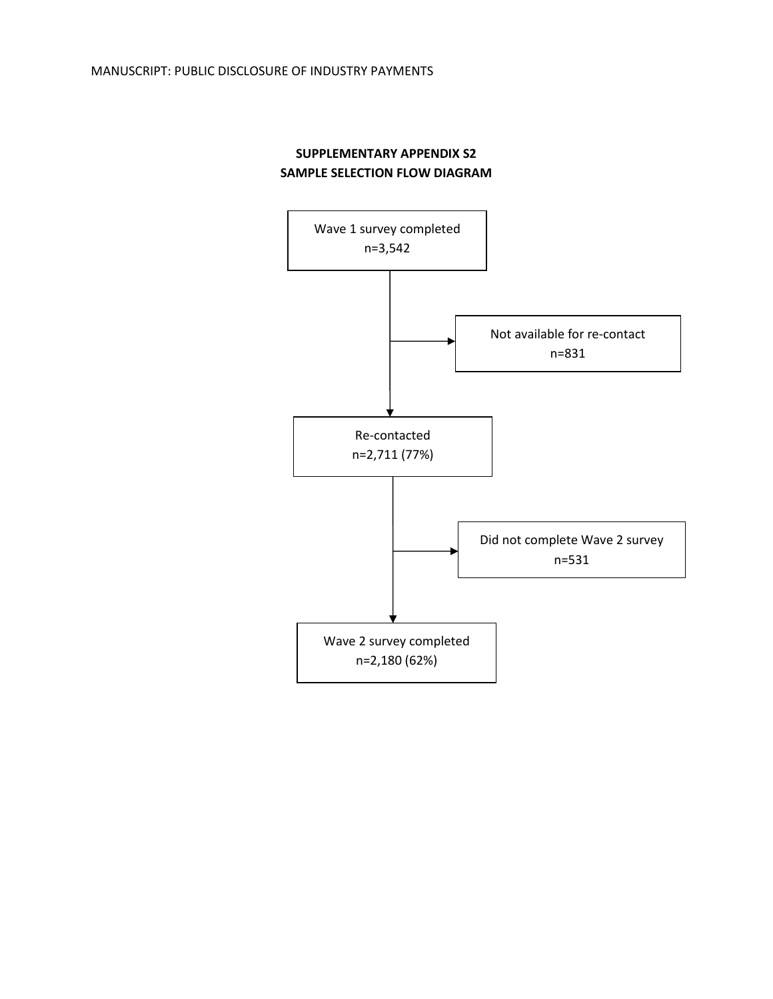# **SUPPLEMENTARY APPENDIX S2 SAMPLE SELECTION FLOW DIAGRAM**

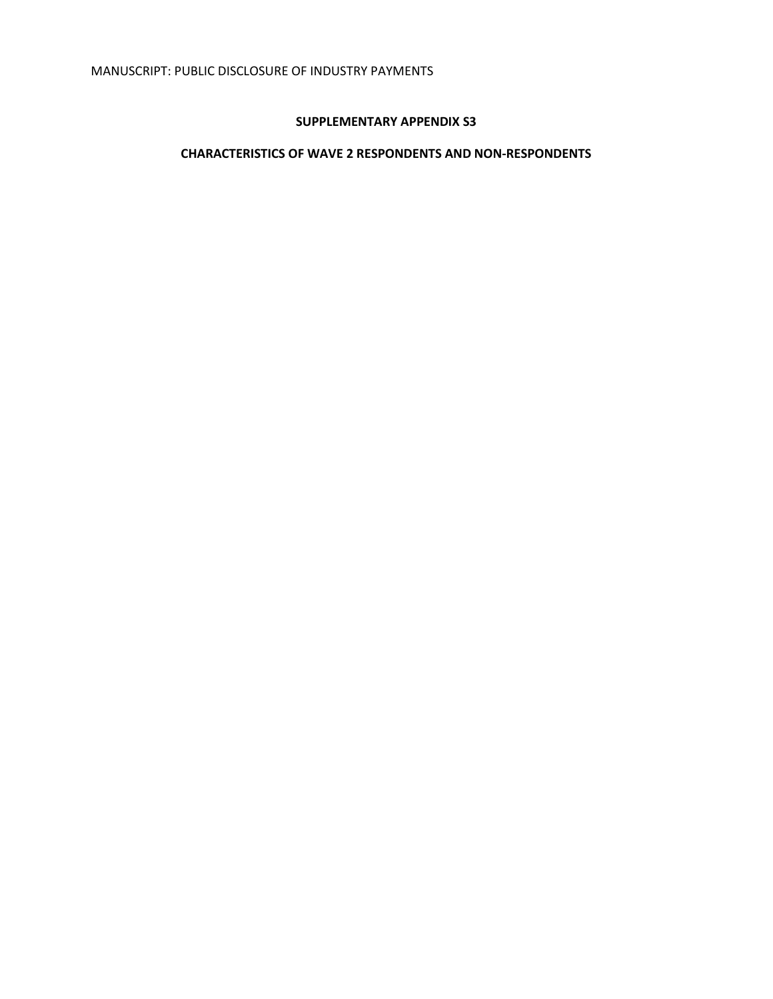## **SUPPLEMENTARY APPENDIX S3**

# **CHARACTERISTICS OF WAVE 2 RESPONDENTS AND NON-RESPONDENTS**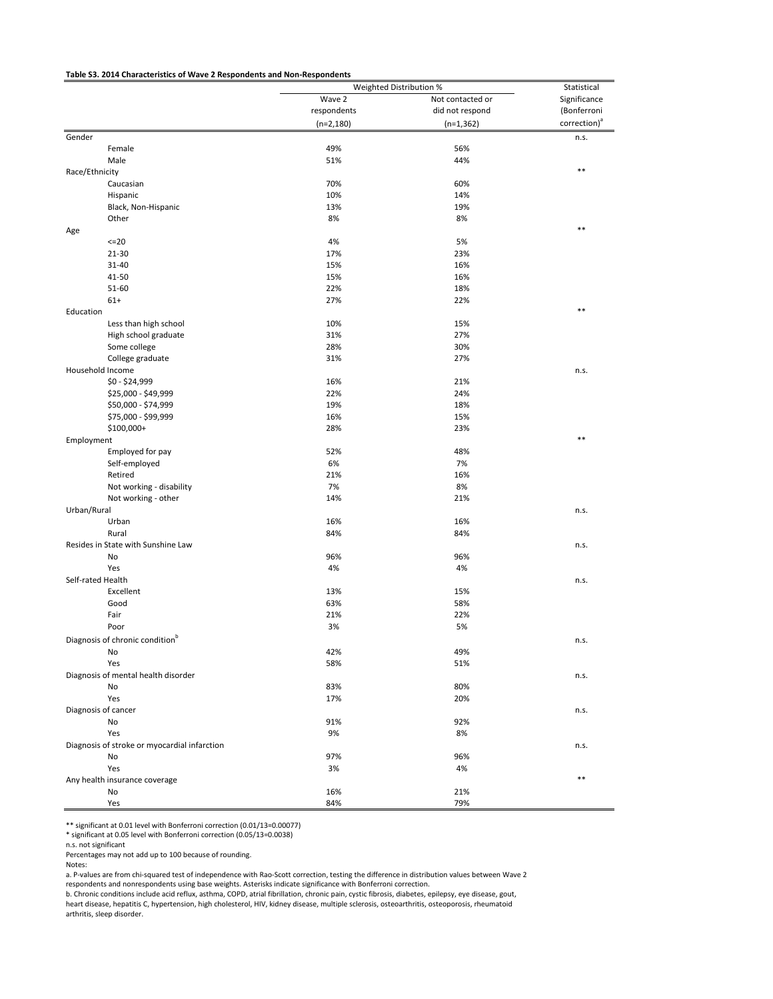#### **Table S3. 2014 Characteristics of Wave 2 Respondents and Non-Respondents**

|                                              |             | Weighted Distribution % | Statistical              |
|----------------------------------------------|-------------|-------------------------|--------------------------|
|                                              | Wave 2      | Not contacted or        | Significance             |
|                                              | respondents | did not respond         | (Bonferroni              |
|                                              | $(n=2,180)$ | $(n=1, 362)$            | correction) <sup>a</sup> |
| Gender                                       |             |                         | n.s.                     |
| Female                                       | 49%         | 56%                     |                          |
| Male                                         | 51%         | 44%                     |                          |
| Race/Ethnicity                               |             |                         | $***$                    |
| Caucasian                                    | 70%         | 60%                     |                          |
| Hispanic                                     | 10%         | 14%                     |                          |
| Black, Non-Hispanic                          | 13%         | 19%                     |                          |
| Other                                        | 8%          | 8%                      |                          |
| Age                                          |             |                         | $***$                    |
| 220                                          | 4%          | 5%                      |                          |
| 21-30                                        | 17%         | 23%                     |                          |
| 31-40                                        | 15%         | 16%                     |                          |
| 41-50                                        | 15%         | 16%                     |                          |
| 51-60                                        | 22%         | 18%                     |                          |
| $61+$                                        | 27%         | 22%                     |                          |
| Education                                    |             |                         | $**$                     |
|                                              |             |                         |                          |
| Less than high school                        | 10%         | 15%                     |                          |
| High school graduate                         | 31%         | 27%                     |                          |
| Some college                                 | 28%         | 30%                     |                          |
| College graduate                             | 31%         | 27%                     |                          |
| Household Income                             |             |                         | n.s.                     |
| $$0 - $24,999$                               | 16%         | 21%                     |                          |
| \$25,000 - \$49,999                          | 22%         | 24%                     |                          |
| \$50,000 - \$74,999                          | 19%         | 18%                     |                          |
| \$75,000 - \$99,999                          | 16%         | 15%                     |                          |
| \$100,000+                                   | 28%         | 23%                     |                          |
| Employment                                   |             |                         | $**$                     |
| Employed for pay                             | 52%         | 48%                     |                          |
| Self-employed                                | 6%          | 7%                      |                          |
| Retired                                      | 21%         | 16%                     |                          |
| Not working - disability                     | 7%          | 8%                      |                          |
| Not working - other                          | 14%         | 21%                     |                          |
| Urban/Rural                                  |             |                         | n.s.                     |
| Urban                                        | 16%         | 16%                     |                          |
| Rural                                        | 84%         | 84%                     |                          |
| Resides in State with Sunshine Law           |             |                         | n.s.                     |
| No                                           | 96%         | 96%                     |                          |
| Yes                                          | 4%          | 4%                      |                          |
| Self-rated Health                            |             |                         | n.s.                     |
| Excellent                                    | 13%         | 15%                     |                          |
| Good                                         | 63%         | 58%                     |                          |
| Fair                                         | 21%         | 22%                     |                          |
| Poor                                         | 3%          | 5%                      |                          |
| Diagnosis of chronic condition <sup>b</sup>  |             |                         | n.s.                     |
| No                                           | 42%         | 49%                     |                          |
| Yes                                          | 58%         | 51%                     |                          |
| Diagnosis of mental health disorder          |             |                         | n.s.                     |
| No                                           | 83%         | 80%                     |                          |
| Yes                                          | 17%         | 20%                     |                          |
| Diagnosis of cancer                          |             |                         | n.s.                     |
| No                                           | 91%         | 92%                     |                          |
| Yes                                          | 9%          | 8%                      |                          |
|                                              |             |                         |                          |
| Diagnosis of stroke or myocardial infarction |             |                         | n.s.                     |
| No                                           | 97%<br>3%   | 96%<br>4%               |                          |
| Yes                                          |             |                         | $***$                    |
| Any health insurance coverage                |             |                         |                          |
| No                                           | 16%         | 21%                     |                          |
| Yes                                          | 84%         | 79%                     |                          |

\*\* significant at 0.01 level with Bonferroni correction (0.01/13=0.00077)

\* significant at 0.05 level with Bonferroni correction (0.05/13=0.0038)

n.s. not significant

Percentages may not add up to 100 because of rounding.

Notes:

a. P-values are from chi-squared test of independence with Rao-Scott correction, testing the difference in distribution values between Wave 2 respondents and nonrespondents using base weights. Asterisks indicate significance with Bonferroni correction.

b. Chronic conditions include acid reflux, asthma, COPD, atrial fibrillation, chronic pain, cystic fibrosis, diabetes, epilepsy, eye disease, gout,<br>heart disease, hepatitis C, hypertension, high cholesterol, HIV, kidney di arthritis, sleep disorder.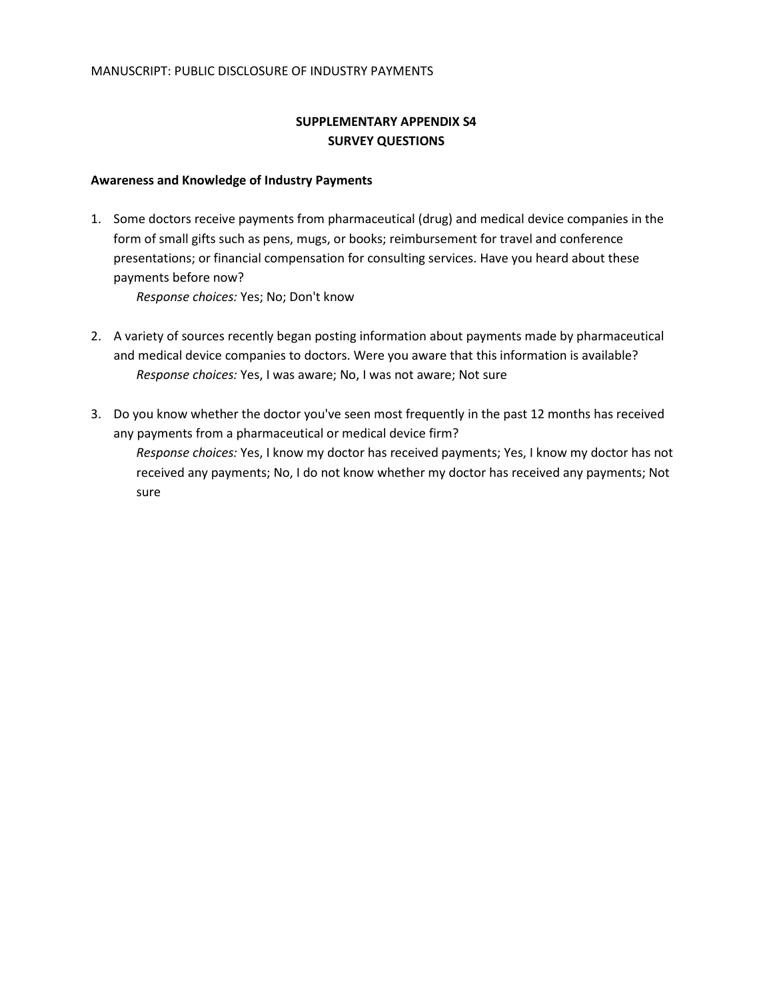## **SUPPLEMENTARY APPENDIX S4 SURVEY QUESTIONS**

### **Awareness and Knowledge of Industry Payments**

1. Some doctors receive payments from pharmaceutical (drug) and medical device companies in the form of small gifts such as pens, mugs, or books; reimbursement for travel and conference presentations; or financial compensation for consulting services. Have you heard about these payments before now?

*Response choices:* Yes; No; Don't know

- 2. A variety of sources recently began posting information about payments made by pharmaceutical and medical device companies to doctors. Were you aware that this information is available? *Response choices:* Yes, I was aware; No, I was not aware; Not sure
- 3. Do you know whether the doctor you've seen most frequently in the past 12 months has received any payments from a pharmaceutical or medical device firm?
	- *Response choices:* Yes, I know my doctor has received payments; Yes, I know my doctor has not received any payments; No, I do not know whether my doctor has received any payments; Not sure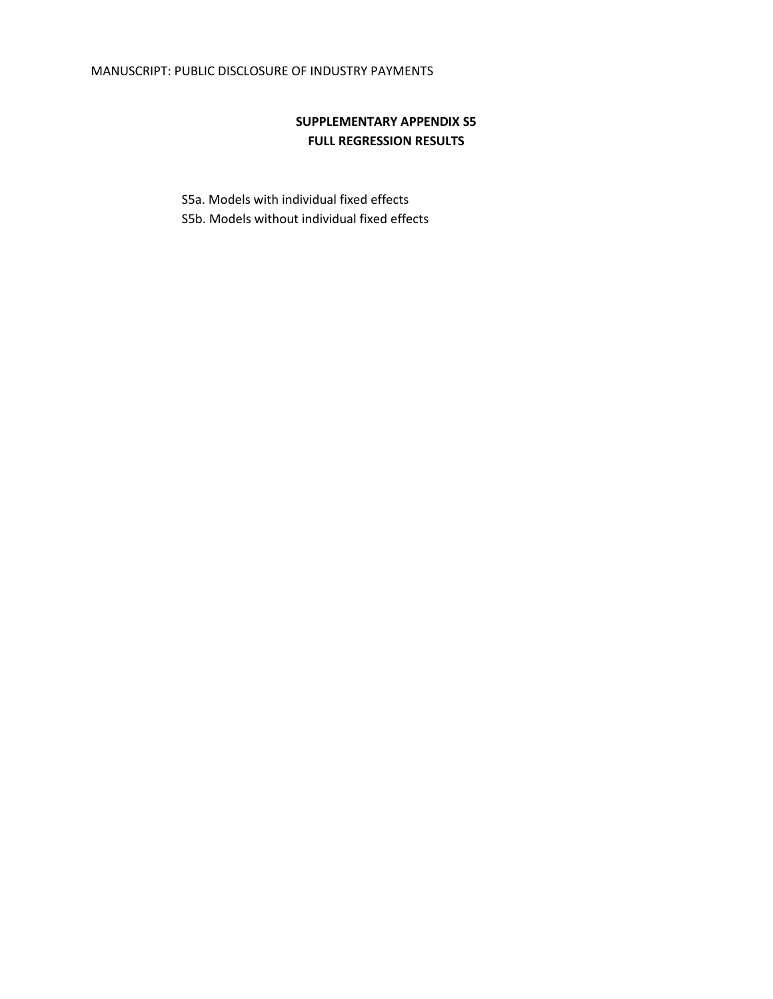# **SUPPLEMENTARY APPENDIX S5 FULL REGRESSION RESULTS**

S5a. Models with individual fixed effects S5b. Models without individual fixed effects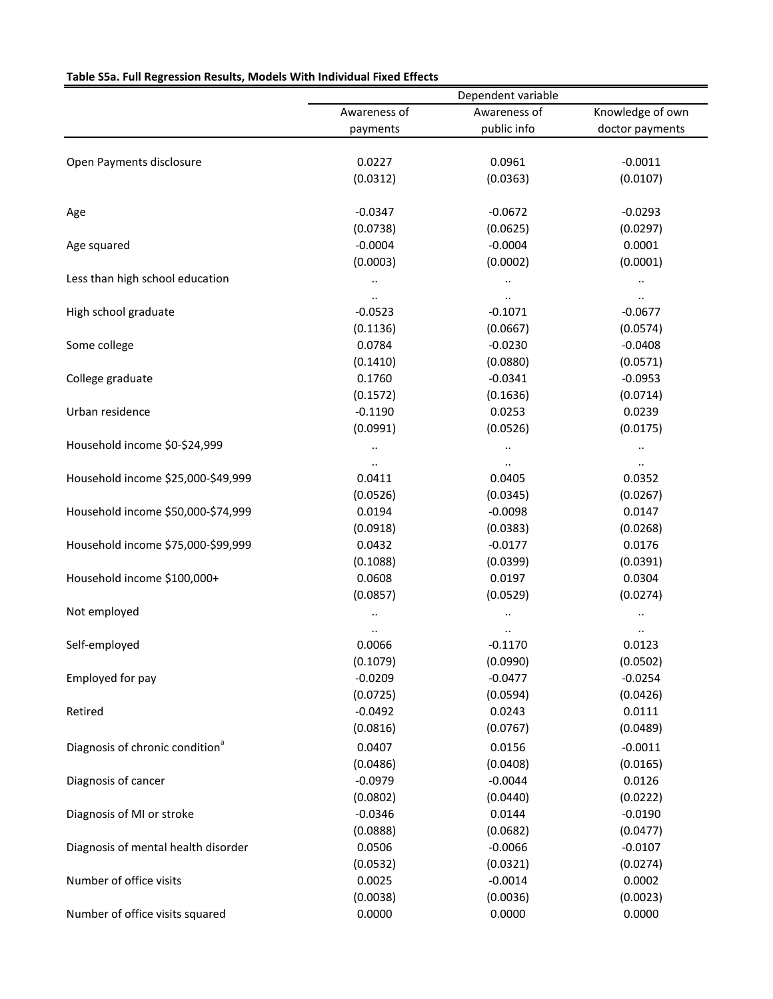| Table S5a. Full Regression Results, Models With Individual Fixed Effects |
|--------------------------------------------------------------------------|
|--------------------------------------------------------------------------|

|                                             | Dependent variable   |                      |                        |  |  |
|---------------------------------------------|----------------------|----------------------|------------------------|--|--|
|                                             | Awareness of         | Awareness of         | Knowledge of own       |  |  |
|                                             | payments             | public info          | doctor payments        |  |  |
|                                             |                      |                      |                        |  |  |
| Open Payments disclosure                    | 0.0227               | 0.0961               | $-0.0011$              |  |  |
|                                             | (0.0312)             | (0.0363)             | (0.0107)               |  |  |
| Age                                         | $-0.0347$            | $-0.0672$            | $-0.0293$              |  |  |
|                                             | (0.0738)             | (0.0625)             | (0.0297)               |  |  |
| Age squared                                 | $-0.0004$            | $-0.0004$            | 0.0001                 |  |  |
|                                             | (0.0003)             | (0.0002)             | (0.0001)               |  |  |
| Less than high school education             | $\ldots$             | $\ldots$             | $\ddot{\phantom{0}}$   |  |  |
|                                             | $\ddot{\phantom{1}}$ | $\cdot\cdot$         | $\cdot\cdot$           |  |  |
| High school graduate                        | $-0.0523$            | $-0.1071$            | $-0.0677$              |  |  |
|                                             | (0.1136)             | (0.0667)             | (0.0574)               |  |  |
| Some college                                | 0.0784               | $-0.0230$            | $-0.0408$              |  |  |
|                                             | (0.1410)             | (0.0880)             | (0.0571)               |  |  |
| College graduate                            | 0.1760               | $-0.0341$            | $-0.0953$              |  |  |
|                                             | (0.1572)             | (0.1636)             | (0.0714)               |  |  |
| Urban residence                             | $-0.1190$            | 0.0253               | 0.0239                 |  |  |
|                                             | (0.0991)             | (0.0526)             | (0.0175)               |  |  |
| Household income \$0-\$24,999               |                      |                      |                        |  |  |
|                                             | $\ddotsc$            | $\ddot{\phantom{1}}$ | $\ddot{\phantom{0}}$   |  |  |
| Household income \$25,000-\$49,999          | $\cdot$<br>0.0411    | $\cdot$ .<br>0.0405  | $\cdot\cdot$<br>0.0352 |  |  |
|                                             | (0.0526)             | (0.0345)             |                        |  |  |
| Household income \$50,000-\$74,999          | 0.0194               | $-0.0098$            | (0.0267)               |  |  |
|                                             |                      |                      | 0.0147                 |  |  |
|                                             | (0.0918)             | (0.0383)             | (0.0268)               |  |  |
| Household income \$75,000-\$99,999          | 0.0432               | $-0.0177$            | 0.0176                 |  |  |
|                                             | (0.1088)             | (0.0399)             | (0.0391)               |  |  |
| Household income \$100,000+                 | 0.0608               | 0.0197               | 0.0304                 |  |  |
|                                             | (0.0857)             | (0.0529)             | (0.0274)               |  |  |
| Not employed                                |                      |                      | .,                     |  |  |
|                                             | $\ddot{\phantom{1}}$ | $\ddot{\phantom{1}}$ | $\ddot{\phantom{1}}$   |  |  |
| Self-employed                               | 0.0066               | $-0.1170$            | 0.0123                 |  |  |
|                                             | (0.1079)             | (0.0990)             | (0.0502)               |  |  |
| Employed for pay                            | $-0.0209$            | $-0.0477$            | $-0.0254$              |  |  |
|                                             | (0.0725)             | (0.0594)             | (0.0426)               |  |  |
| Retired                                     | $-0.0492$            | 0.0243               | 0.0111                 |  |  |
|                                             | (0.0816)             | (0.0767)             | (0.0489)               |  |  |
| Diagnosis of chronic condition <sup>a</sup> | 0.0407               | 0.0156               | $-0.0011$              |  |  |
|                                             | (0.0486)             | (0.0408)             | (0.0165)               |  |  |
| Diagnosis of cancer                         | $-0.0979$            | $-0.0044$            | 0.0126                 |  |  |
|                                             | (0.0802)             | (0.0440)             | (0.0222)               |  |  |
| Diagnosis of MI or stroke                   | $-0.0346$            | 0.0144               | $-0.0190$              |  |  |
|                                             | (0.0888)             | (0.0682)             | (0.0477)               |  |  |
| Diagnosis of mental health disorder         | 0.0506               | $-0.0066$            | $-0.0107$              |  |  |
|                                             | (0.0532)             | (0.0321)             | (0.0274)               |  |  |
| Number of office visits                     | 0.0025               | $-0.0014$            | 0.0002                 |  |  |
|                                             | (0.0038)             | (0.0036)             | (0.0023)               |  |  |
| Number of office visits squared             | 0.0000               | 0.0000               | 0.0000                 |  |  |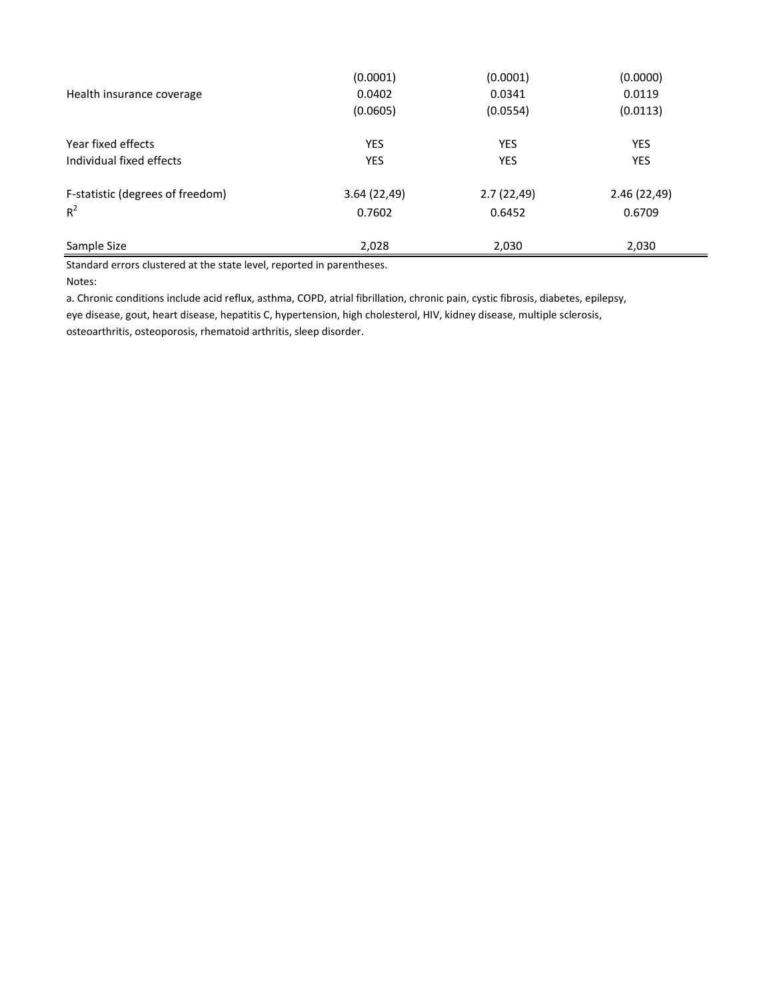| Sample Size                      | 2,028       | 2,030      | 2,030       |
|----------------------------------|-------------|------------|-------------|
| $R^2$                            | 0.7602      | 0.6452     | 0.6709      |
| F-statistic (degrees of freedom) | 3.64(22,49) | 2.7(22,49) | 2.46(22,49) |
| Individual fixed effects         | <b>YES</b>  | <b>YES</b> | <b>YES</b>  |
| Year fixed effects               | <b>YES</b>  | <b>YES</b> | <b>YES</b>  |
|                                  | (0.0605)    | (0.0554)   | (0.0113)    |
| Health insurance coverage        | 0.0402      | 0.0341     | 0.0119      |
|                                  | (0.0001)    | (0.0001)   | (0.0000)    |

Standard errors clustered at the state level, reported in parentheses.

Notes:

a. Chronic conditions include acid reflux, asthma, COPD, atrial fibrillation, chronic pain, cystic fibrosis, diabetes, epilepsy, eye disease, gout, heart disease, hepatitis C, hypertension, high cholesterol, HIV, kidney disease, multiple sclerosis, osteoarthritis, osteoporosis, rhematoid arthritis, sleep disorder.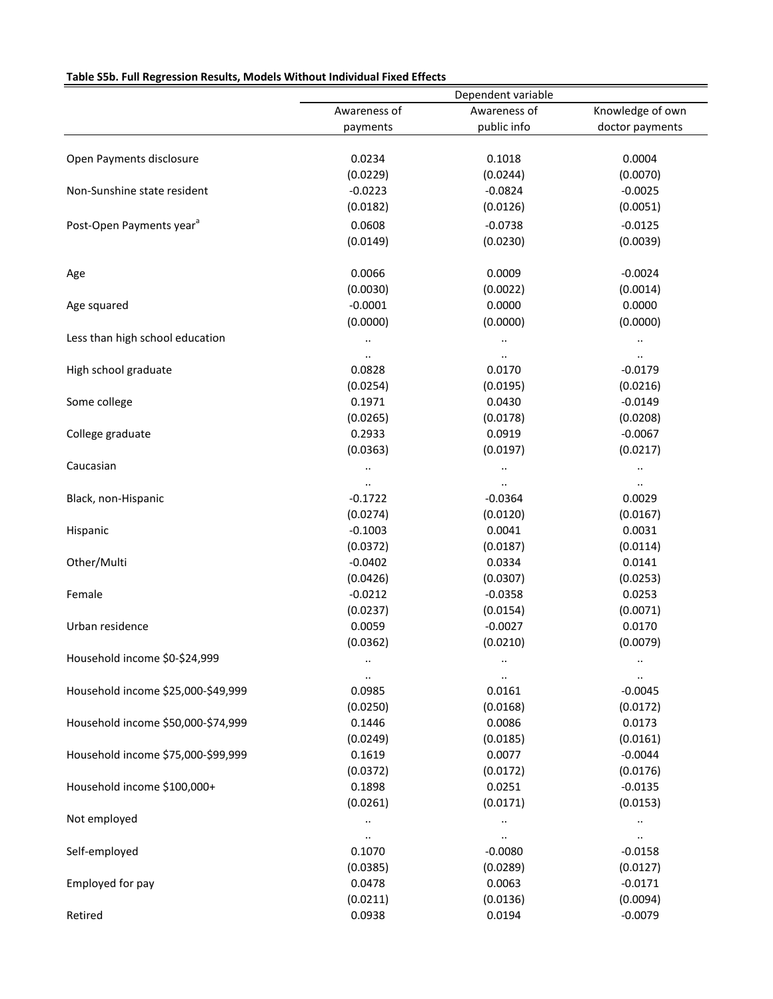## **Table S5b. Full Regression Results, Models Without Individual Fixed Effects**

|                                      |                     | Dependent variable  |                       |
|--------------------------------------|---------------------|---------------------|-----------------------|
|                                      | Awareness of        | Awareness of        | Knowledge of own      |
|                                      | payments            | public info         | doctor payments       |
| Open Payments disclosure             | 0.0234              | 0.1018              | 0.0004                |
|                                      | (0.0229)            | (0.0244)            | (0.0070)              |
| Non-Sunshine state resident          | $-0.0223$           | $-0.0824$           | $-0.0025$             |
|                                      | (0.0182)            | (0.0126)            | (0.0051)              |
| Post-Open Payments year <sup>a</sup> | 0.0608              | $-0.0738$           | $-0.0125$             |
|                                      | (0.0149)            | (0.0230)            | (0.0039)              |
|                                      |                     |                     |                       |
| Age                                  | 0.0066              | 0.0009              | $-0.0024$             |
|                                      | (0.0030)            | (0.0022)            | (0.0014)              |
| Age squared                          | $-0.0001$           | 0.0000              | 0.0000                |
|                                      | (0.0000)            | (0.0000)            | (0.0000)              |
| Less than high school education      | $\cdot$             | $\cdot$             | $\cdot$               |
|                                      | $\ddotsc$           |                     | $\ldots$              |
| High school graduate                 | 0.0828              | 0.0170              | $-0.0179$             |
|                                      | (0.0254)            | (0.0195)            | (0.0216)              |
| Some college                         | 0.1971              | 0.0430              | $-0.0149$             |
|                                      | (0.0265)            | (0.0178)            | (0.0208)              |
| College graduate                     | 0.2933              | 0.0919              | $-0.0067$             |
|                                      | (0.0363)            | (0.0197)            | (0.0217)              |
| Caucasian                            |                     | $\ddotsc$           | $\ddotsc$             |
|                                      |                     |                     | $\cdots$              |
| Black, non-Hispanic                  | $-0.1722$           | $-0.0364$           | 0.0029                |
|                                      | (0.0274)            | (0.0120)            | (0.0167)              |
| Hispanic                             | $-0.1003$           | 0.0041              | 0.0031                |
|                                      | (0.0372)            | (0.0187)            | (0.0114)              |
| Other/Multi                          | $-0.0402$           | 0.0334              | 0.0141                |
|                                      | (0.0426)            | (0.0307)            | (0.0253)              |
| Female                               | $-0.0212$           | $-0.0358$           | 0.0253                |
|                                      | (0.0237)            | (0.0154)            | (0.0071)              |
| Urban residence                      | 0.0059              | $-0.0027$           | 0.0170                |
|                                      | (0.0362)            | (0.0210)            | (0.0079)              |
| Household income \$0-\$24,999        | $\ldots$            | $\ddotsc$           | $\cdots$              |
| Household income \$25,000-\$49,999   | $\ddotsc$<br>0.0985 | $\ddotsc$<br>0.0161 | $\ldots$<br>$-0.0045$ |
|                                      | (0.0250)            | (0.0168)            | (0.0172)              |
| Household income \$50,000-\$74,999   | 0.1446              | 0.0086              | 0.0173                |
|                                      | (0.0249)            | (0.0185)            | (0.0161)              |
| Household income \$75,000-\$99,999   | 0.1619              | 0.0077              | $-0.0044$             |
|                                      | (0.0372)            | (0.0172)            | (0.0176)              |
| Household income \$100,000+          | 0.1898              | 0.0251              | $-0.0135$             |
|                                      | (0.0261)            | (0.0171)            | (0.0153)              |
| Not employed                         | $\ldots$            | $\ldots$            | $\cdots$              |
|                                      | $\ldots$            | $\cdot\cdot$        | $\cdots$              |
| Self-employed                        | 0.1070              | $-0.0080$           | $-0.0158$             |
|                                      | (0.0385)            | (0.0289)            | (0.0127)              |
| Employed for pay                     | 0.0478              | 0.0063              | $-0.0171$             |
|                                      | (0.0211)            | (0.0136)            | (0.0094)              |
| Retired                              | 0.0938              | 0.0194              | $-0.0079$             |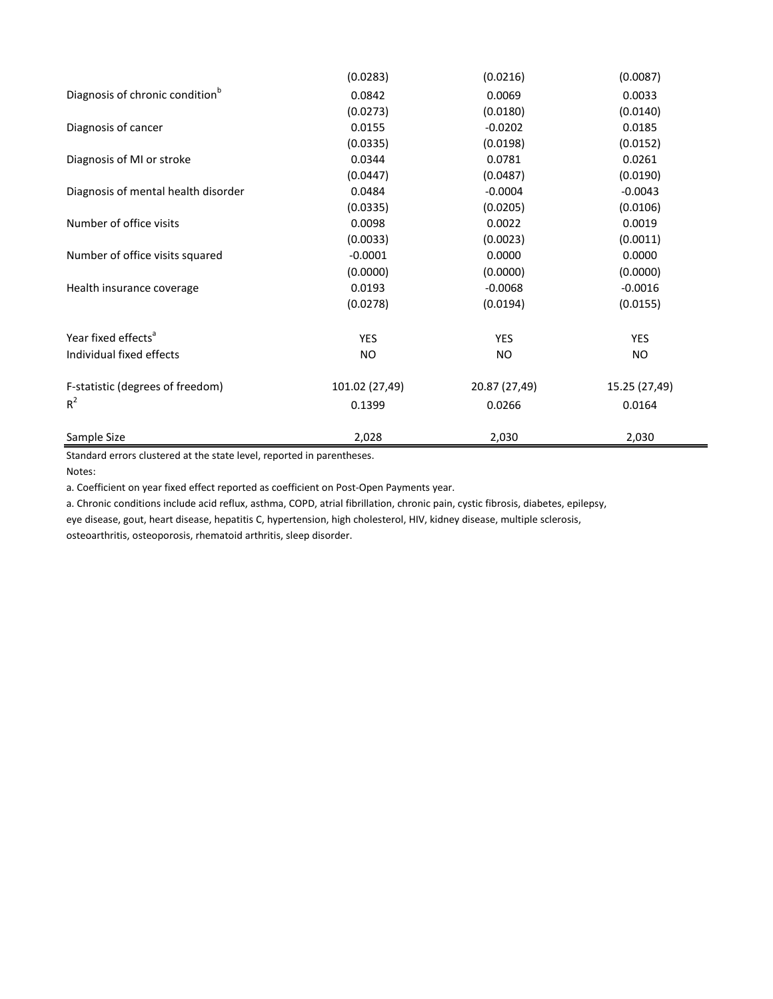|                                             | (0.0283)       | (0.0216)      | (0.0087)      |
|---------------------------------------------|----------------|---------------|---------------|
| Diagnosis of chronic condition <sup>b</sup> | 0.0842         | 0.0069        | 0.0033        |
|                                             | (0.0273)       | (0.0180)      | (0.0140)      |
| Diagnosis of cancer                         | 0.0155         | $-0.0202$     | 0.0185        |
|                                             | (0.0335)       | (0.0198)      | (0.0152)      |
| Diagnosis of MI or stroke                   | 0.0344         | 0.0781        | 0.0261        |
|                                             | (0.0447)       | (0.0487)      | (0.0190)      |
| Diagnosis of mental health disorder         | 0.0484         | $-0.0004$     | $-0.0043$     |
|                                             | (0.0335)       | (0.0205)      | (0.0106)      |
| Number of office visits                     | 0.0098         | 0.0022        | 0.0019        |
|                                             | (0.0033)       | (0.0023)      | (0.0011)      |
| Number of office visits squared             | $-0.0001$      | 0.0000        | 0.0000        |
|                                             | (0.0000)       | (0.0000)      | (0.0000)      |
| Health insurance coverage                   | 0.0193         | $-0.0068$     | $-0.0016$     |
|                                             | (0.0278)       | (0.0194)      | (0.0155)      |
| Year fixed effects <sup>a</sup>             | <b>YES</b>     | <b>YES</b>    | <b>YES</b>    |
| Individual fixed effects                    | NO.            | NO            | NO            |
| F-statistic (degrees of freedom)            | 101.02 (27,49) | 20.87 (27,49) | 15.25 (27,49) |
| $R^2$                                       | 0.1399         | 0.0266        | 0.0164        |
| Sample Size                                 | 2,028          | 2,030         | 2,030         |

Standard errors clustered at the state level, reported in parentheses.

Notes:

a. Coefficient on year fixed effect reported as coefficient on Post-Open Payments year.

a. Chronic conditions include acid reflux, asthma, COPD, atrial fibrillation, chronic pain, cystic fibrosis, diabetes, epilepsy,

eye disease, gout, heart disease, hepatitis C, hypertension, high cholesterol, HIV, kidney disease, multiple sclerosis,

osteoarthritis, osteoporosis, rhematoid arthritis, sleep disorder.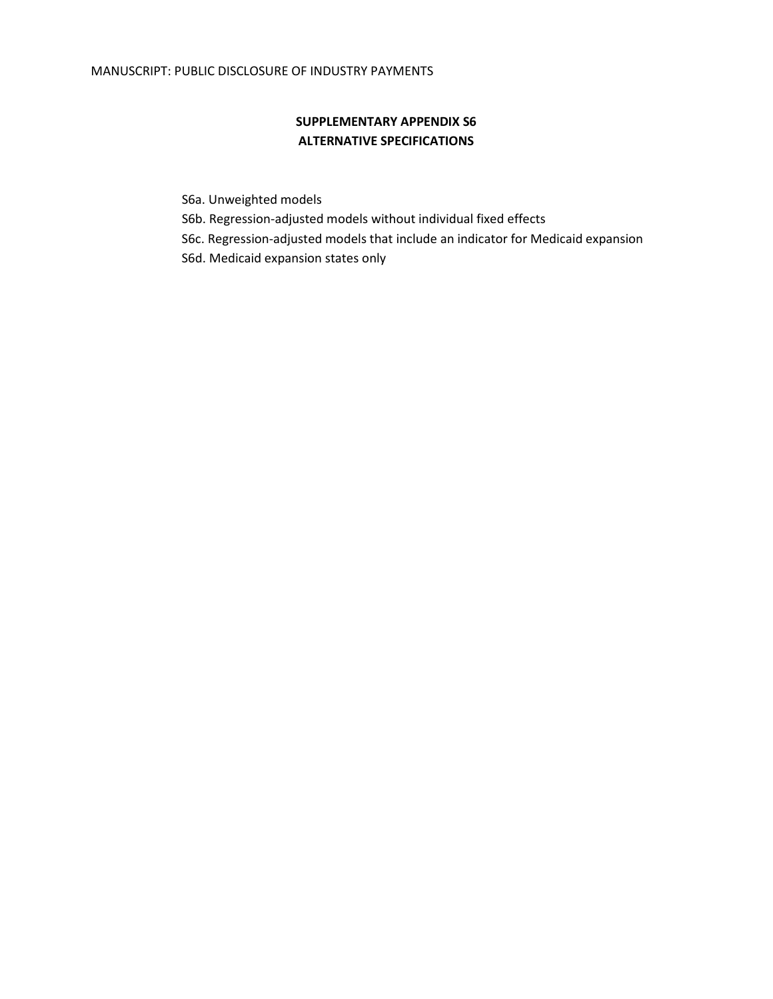# **SUPPLEMENTARY APPENDIX S6 ALTERNATIVE SPECIFICATIONS**

- S6a. Unweighted models
- S6b. Regression-adjusted models without individual fixed effects
- S6c. Regression-adjusted models that include an indicator for Medicaid expansion
- S6d. Medicaid expansion states only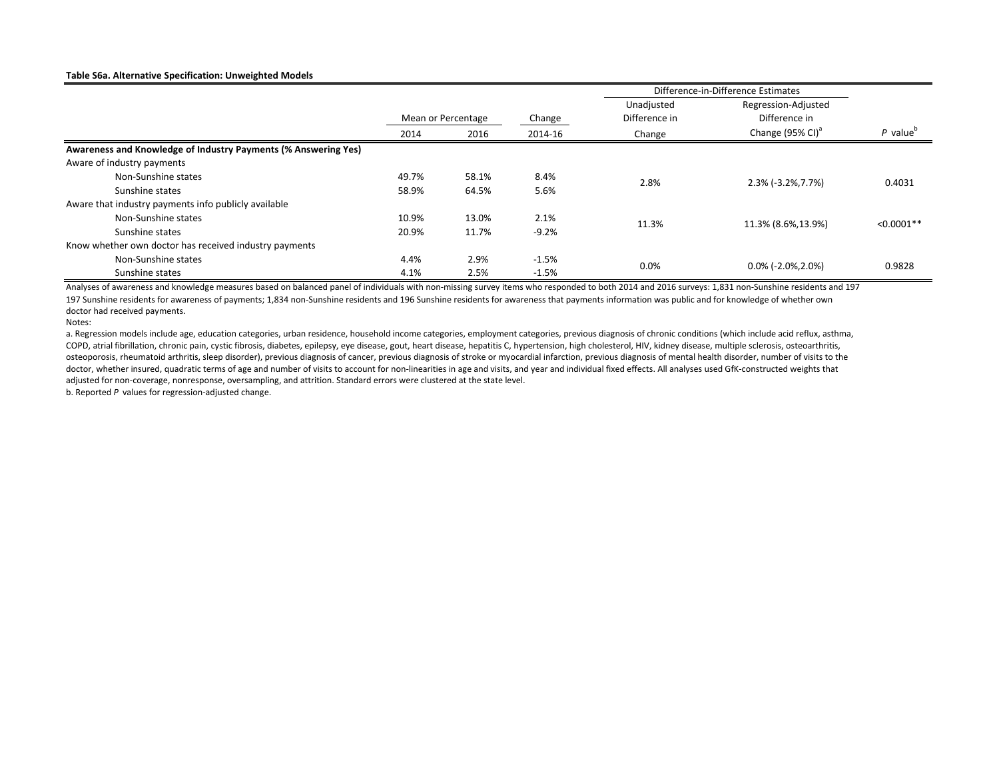#### **Table S6a. Alternative Specification: Unweighted Models**

|                                                                | Difference-in-Difference Estimates |                    |         |               |                              |                        |
|----------------------------------------------------------------|------------------------------------|--------------------|---------|---------------|------------------------------|------------------------|
|                                                                |                                    |                    |         | Unadjusted    | Regression-Adjusted          |                        |
|                                                                |                                    | Mean or Percentage | Change  | Difference in | Difference in                |                        |
|                                                                | 2014                               | 2016               | 2014-16 | Change        | Change (95% CI) <sup>a</sup> | $P$ value <sup>o</sup> |
| Awareness and Knowledge of Industry Payments (% Answering Yes) |                                    |                    |         |               |                              |                        |
| Aware of industry payments                                     |                                    |                    |         |               |                              |                        |
| Non-Sunshine states                                            | 49.7%                              | 58.1%              | 8.4%    | 2.8%          | 2.3% (-3.2%, 7.7%)           | 0.4031                 |
| Sunshine states                                                | 58.9%                              | 64.5%              | 5.6%    |               |                              |                        |
| Aware that industry payments info publicly available           |                                    |                    |         |               |                              |                        |
| Non-Sunshine states                                            | 10.9%                              | 13.0%              | 2.1%    | 11.3%         | 11.3% (8.6%, 13.9%)          | $< 0.0001**$           |
| Sunshine states                                                | 20.9%                              | 11.7%              | $-9.2%$ |               |                              |                        |
| Know whether own doctor has received industry payments         |                                    |                    |         |               |                              |                        |
| Non-Sunshine states                                            | 4.4%                               | 2.9%               | $-1.5%$ | $0.0\%$       | $0.0\%$ (-2.0%,2.0%)         |                        |
| Sunshine states                                                | 4.1%                               | 2.5%               | $-1.5%$ |               |                              | 0.9828                 |

197 Sunshine residents for awareness of payments; 1,834 non-Sunshine residents and 196 Sunshine residents for awareness that payments information was public and for knowledge of whether own doctor had received payments. Analyses of awareness and knowledge measures based on balanced panel of individuals with non-missing survey items who responded to both 2014 and 2016 surveys: 1,831 non-Sunshine residents and 197

Notes:

a. Regression models include age, education categories, urban residence, household income categories, employment categories, previous diagnosis of chronic conditions (which include acid reflux, asthma, COPD, atrial fibrillation, chronic pain, cystic fibrosis, diabetes, epilepsy, eye disease, gout, heart disease, hepatitis C, hypertension, high cholesterol, HIV, kidney disease, multiple sclerosis, osteoarthritis, osteoporosis, rheumatoid arthritis, sleep disorder), previous diagnosis of cancer, previous diagnosis of stroke or myocardial infarction, previous diagnosis of mental health disorder, number of visits to the doctor, whether insured, quadratic terms of age and number of visits to account for non-linearities in age and visits, and year and individual fixed effects. All analyses used GfK-constructed weights that adjusted for non-coverage, nonresponse, oversampling, and attrition. Standard errors were clustered at the state level.

b. Reported *P* values for regression-adjusted change.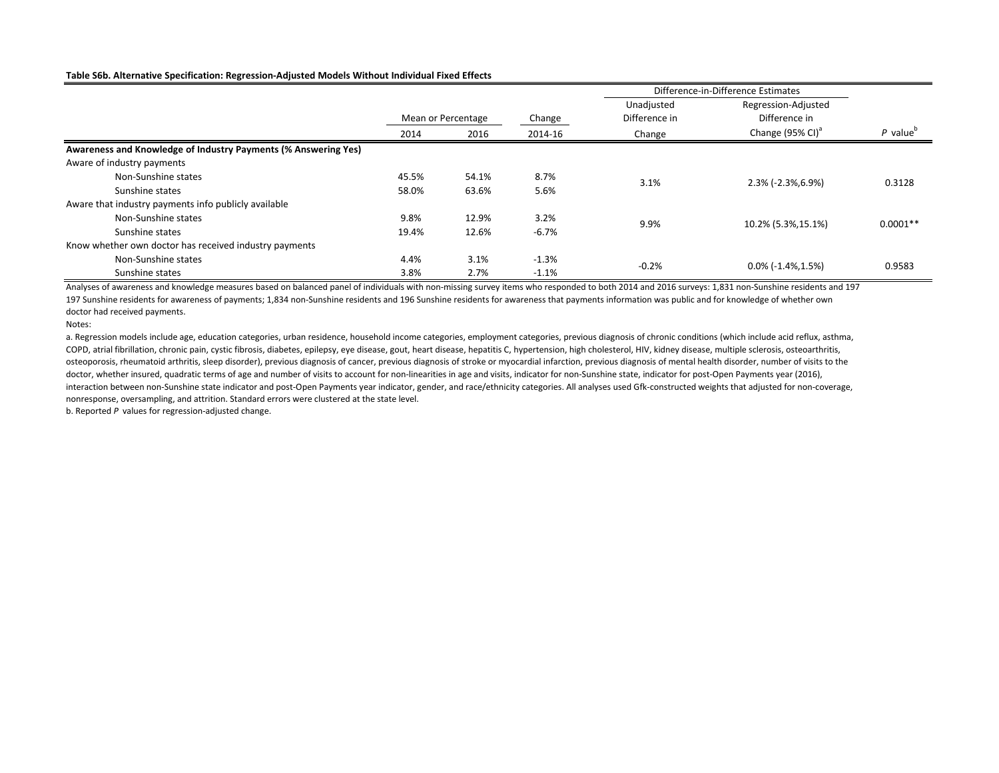#### **Table S6b. Alternative Specification: Regression-Adjusted Models Without Individual Fixed Effects**

|                                                                |       |                    |         | Difference-in-Difference Estimates |                              |                        |
|----------------------------------------------------------------|-------|--------------------|---------|------------------------------------|------------------------------|------------------------|
|                                                                |       |                    |         | Unadjusted                         | Regression-Adjusted          |                        |
|                                                                |       | Mean or Percentage | Change  | Difference in                      | Difference in                |                        |
|                                                                | 2014  | 2016               | 2014-16 | Change                             | Change (95% CI) <sup>a</sup> | $P$ value <sup>o</sup> |
| Awareness and Knowledge of Industry Payments (% Answering Yes) |       |                    |         |                                    |                              |                        |
| Aware of industry payments                                     |       |                    |         |                                    |                              |                        |
| Non-Sunshine states                                            | 45.5% | 54.1%              | 8.7%    | 3.1%                               | $2.3\%$ (-2.3%, 6.9%)        | 0.3128                 |
| Sunshine states                                                | 58.0% | 63.6%              | 5.6%    |                                    |                              |                        |
| Aware that industry payments info publicly available           |       |                    |         |                                    |                              |                        |
| Non-Sunshine states                                            | 9.8%  | 12.9%              | 3.2%    | 9.9%                               |                              | $0.0001**$             |
| Sunshine states                                                | 19.4% | 12.6%              | $-6.7%$ |                                    | 10.2% (5.3%, 15.1%)          |                        |
| Know whether own doctor has received industry payments         |       |                    |         |                                    |                              |                        |
| Non-Sunshine states                                            | 4.4%  | 3.1%               | $-1.3%$ | $-0.2%$                            | $0.0\%$ (-1.4%,1.5%)         | 0.9583                 |
| Sunshine states                                                | 3.8%  | 2.7%               | $-1.1%$ |                                    |                              |                        |

197 Sunshine residents for awareness of payments; 1,834 non-Sunshine residents and 196 Sunshine residents for awareness that payments information was public and for knowledge of whether own doctor had received payments. Analyses of awareness and knowledge measures based on balanced panel of individuals with non-missing survey items who responded to both 2014 and 2016 surveys: 1,831 non-Sunshine residents and 197

Notes:

a. Regression models include age, education categories, urban residence, household income categories, employment categories, previous diagnosis of chronic conditions (which include acid reflux, asthma, COPD, atrial fibrillation, chronic pain, cystic fibrosis, diabetes, epilepsy, eye disease, gout, heart disease, hepatitis C, hypertension, high cholesterol, HIV, kidney disease, multiple sclerosis, osteoarthritis, osteoporosis, rheumatoid arthritis, sleep disorder), previous diagnosis of cancer, previous diagnosis of stroke or myocardial infarction, previous diagnosis of mental health disorder, number of visits to the doctor, whether insured, quadratic terms of age and number of visits to account for non-linearities in age and visits, indicator for non-Sunshine state, indicator for post-Open Payments year (2016), interaction between non-Sunshine state indicator and post-Open Payments year indicator, gender, and race/ethnicity categories. All analyses used Gfk-constructed weights that adjusted for non-coverage, nonresponse, oversampling, and attrition. Standard errors were clustered at the state level.

b. Reported *P* values for regression-adjusted change.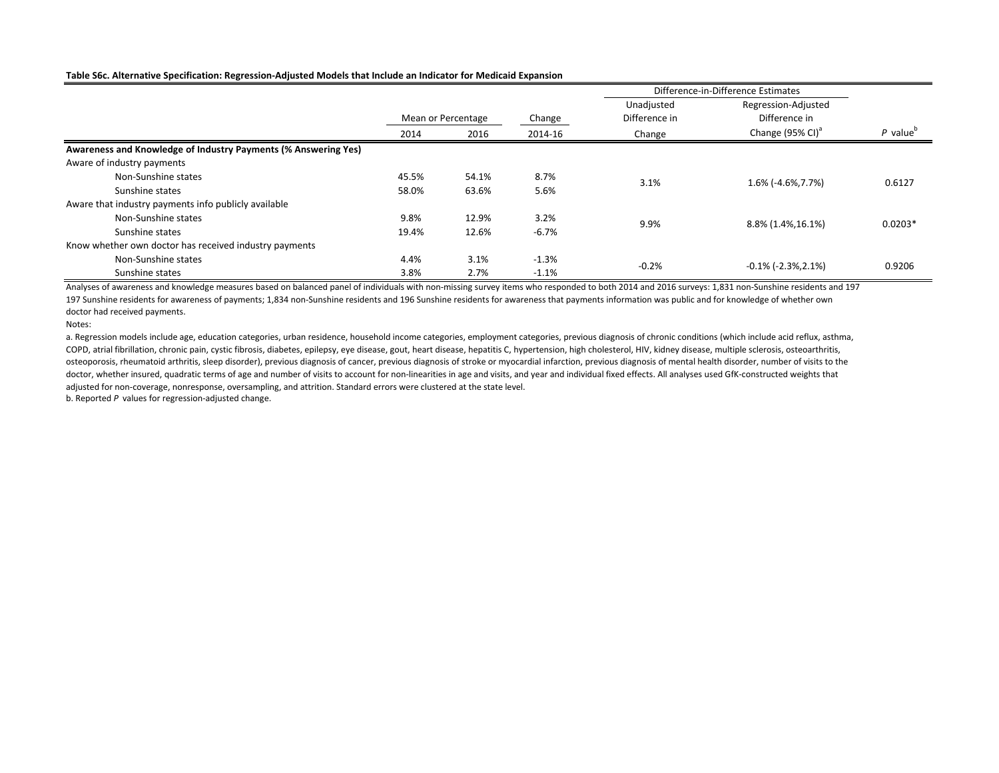#### **Table S6c. Alternative Specification: Regression-Adjusted Models that Include an Indicator for Medicaid Expansion**

|                                                                |       |                    |         | Difference-in-Difference Estimates |                                 |           |
|----------------------------------------------------------------|-------|--------------------|---------|------------------------------------|---------------------------------|-----------|
|                                                                |       |                    |         | Unadjusted                         | Regression-Adjusted             |           |
|                                                                |       | Mean or Percentage | Change  | Difference in                      | Difference in                   |           |
|                                                                | 2014  | 2016               | 2014-16 | Change                             | Change (95% CI) <sup>a</sup>    | $P$ value |
| Awareness and Knowledge of Industry Payments (% Answering Yes) |       |                    |         |                                    |                                 |           |
| Aware of industry payments                                     |       |                    |         |                                    |                                 |           |
| Non-Sunshine states                                            | 45.5% | 54.1%              | 8.7%    | 3.1%                               | 1.6% (-4.6%, 7.7%)              | 0.6127    |
| Sunshine states                                                | 58.0% | 63.6%              | 5.6%    |                                    |                                 |           |
| Aware that industry payments info publicly available           |       |                    |         |                                    |                                 |           |
| Non-Sunshine states                                            | 9.8%  | 12.9%              | 3.2%    | 9.9%                               |                                 | $0.0203*$ |
| Sunshine states                                                | 19.4% | 12.6%              | $-6.7%$ |                                    | 8.8% (1.4%, 16.1%)              |           |
| Know whether own doctor has received industry payments         |       |                    |         |                                    |                                 |           |
| Non-Sunshine states                                            | 4.4%  | 3.1%               | $-1.3%$ |                                    | $-0.1\%$ ( $-2.3\%$ , $2.1\%$ ) | 0.9206    |
| Sunshine states                                                | 3.8%  | 2.7%               | $-1.1%$ | $-0.2%$                            |                                 |           |

197 Sunshine residents for awareness of payments; 1,834 non-Sunshine residents and 196 Sunshine residents for awareness that payments information was public and for knowledge of whether own doctor had received payments. Analyses of awareness and knowledge measures based on balanced panel of individuals with non-missing survey items who responded to both 2014 and 2016 surveys: 1,831 non-Sunshine residents and 197

Notes:

a. Regression models include age, education categories, urban residence, household income categories, employment categories, previous diagnosis of chronic conditions (which include acid reflux, asthma, COPD, atrial fibrillation, chronic pain, cystic fibrosis, diabetes, epilepsy, eye disease, gout, heart disease, hepatitis C, hypertension, high cholesterol, HIV, kidney disease, multiple sclerosis, osteoarthritis, osteoporosis, rheumatoid arthritis, sleep disorder), previous diagnosis of cancer, previous diagnosis of stroke or myocardial infarction, previous diagnosis of mental health disorder, number of visits to the doctor, whether insured, quadratic terms of age and number of visits to account for non-linearities in age and visits, and year and individual fixed effects. All analyses used GfK-constructed weights that adjusted for non-coverage, nonresponse, oversampling, and attrition. Standard errors were clustered at the state level.

b. Reported *P* values for regression-adjusted change.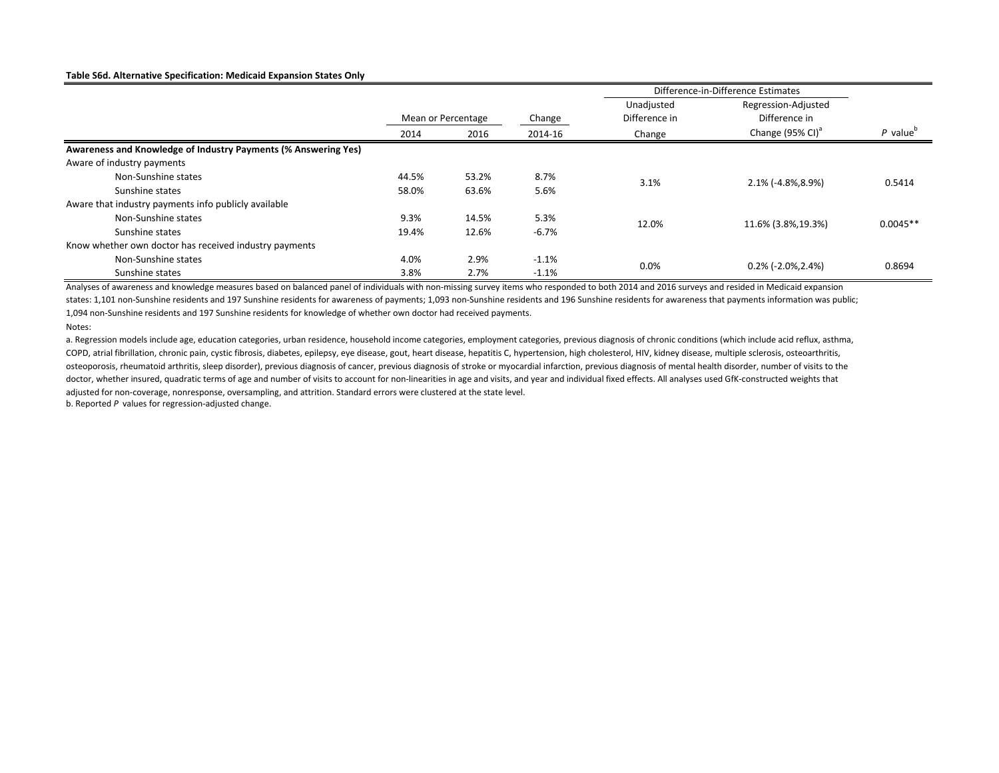#### **Table S6d. Alternative Specification: Medicaid Expansion States Only**

|                                                                |       |                    |         | Difference-in-Difference Estimates |                              |                        |
|----------------------------------------------------------------|-------|--------------------|---------|------------------------------------|------------------------------|------------------------|
|                                                                |       |                    |         | Unadjusted                         | Regression-Adjusted          |                        |
|                                                                |       | Mean or Percentage | Change  | Difference in                      | Difference in                |                        |
|                                                                | 2014  | 2016               | 2014-16 | Change                             | Change (95% CI) <sup>a</sup> | $P$ value <sup>o</sup> |
| Awareness and Knowledge of Industry Payments (% Answering Yes) |       |                    |         |                                    |                              |                        |
| Aware of industry payments                                     |       |                    |         |                                    |                              |                        |
| Non-Sunshine states                                            | 44.5% | 53.2%              | 8.7%    | 3.1%                               | 2.1% (-4.8%,8.9%)            | 0.5414                 |
| Sunshine states                                                | 58.0% | 63.6%              | 5.6%    |                                    |                              |                        |
| Aware that industry payments info publicly available           |       |                    |         |                                    |                              |                        |
| Non-Sunshine states                                            | 9.3%  | 14.5%              | 5.3%    | 12.0%                              | 11.6% (3.8%, 19.3%)          | $0.0045**$             |
| Sunshine states                                                | 19.4% | 12.6%              | $-6.7%$ |                                    |                              |                        |
| Know whether own doctor has received industry payments         |       |                    |         |                                    |                              |                        |
| Non-Sunshine states                                            | 4.0%  | 2.9%               | $-1.1%$ |                                    |                              |                        |
| Sunshine states                                                | 3.8%  | 2.7%               | $-1.1%$ | $0.0\%$                            | $0.2\%$ (-2.0%, 2.4%)        | 0.8694                 |

Analyses of awareness and knowledge measures based on balanced panel of individuals with non-missing survey items who responded to both 2014 and 2016 surveys and resided in Medicaid expansion states: 1,101 non-Sunshine residents and 197 Sunshine residents for awareness of payments; 1,093 non-Sunshine residents and 196 Sunshine residents for awareness that payments information was public; 1,094 non-Sunshine residents and 197 Sunshine residents for knowledge of whether own doctor had received payments.

Notes:

a. Regression models include age, education categories, urban residence, household income categories, employment categories, previous diagnosis of chronic conditions (which include acid reflux, asthma, COPD, atrial fibrillation, chronic pain, cystic fibrosis, diabetes, epilepsy, eye disease, gout, heart disease, hepatitis C, hypertension, high cholesterol, HIV, kidney disease, multiple sclerosis, osteoarthritis, osteoporosis, rheumatoid arthritis, sleep disorder), previous diagnosis of cancer, previous diagnosis of stroke or myocardial infarction, previous diagnosis of mental health disorder, number of visits to the doctor, whether insured, quadratic terms of age and number of visits to account for non-linearities in age and visits, and year and individual fixed effects. All analyses used GfK-constructed weights that adjusted for non-coverage, nonresponse, oversampling, and attrition. Standard errors were clustered at the state level. b. Reported *P* values for regression-adjusted change.